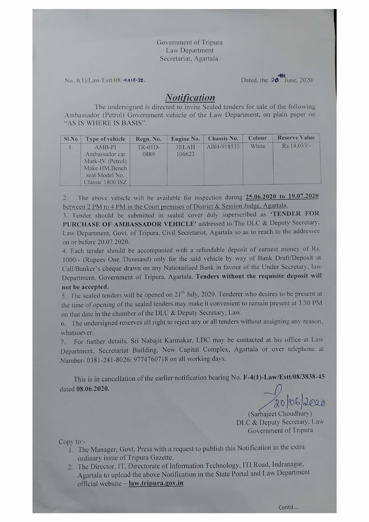Government of Tripura Law Department Secretariat, Agartala.

No. 4(1)/Law/Estt/08/4416-22.

Dated, the **20<sup>th</sup>** June, 2020

## *Notification*

The undersigned is directed to invite Sealed tenders for sale of the following Ambassador (Petrol) Government vehicle of the Law Department, on plain paper on "AS IS WHERE IS BASIS".

| Sl.No | Type of vehicle                                                                                        | Regn. No.         | Engine No.      | <b>Chassis No.</b> | Colour | <b>Reserve Value</b> |
|-------|--------------------------------------------------------------------------------------------------------|-------------------|-----------------|--------------------|--------|----------------------|
|       | $AMB-PI$<br>Ambassador car<br>Mark-IV (Petrol)<br>Make HM, Bench<br>seat Model No.<br>Classic 1800 ISZ | $TR-01D-$<br>0889 | 3ELAH<br>106623 | ABH-918535         | White  | $Rs.14.033/-$        |

The above vehicle will be available for inspection during 25.06.2020 to 19.07.2020 between 2 PM to 4 PM in the Court premises of District & Session Judge, Agartala.

3. Tender should be submitted in sealed cover duly superscribed as 'TENDER FOR PURCHASE OF AMBASSADOR VEHICLE' addressed to The DLC & Deputy Secretary. Law Department, Govt. of Tripura, Civil Secretariat, Agartala so as to reach to the addressee on or before 20.07.2020.

4. Each tender should be accompanied with a refundable deposit of earnest money of Rs. l 000/- (Rupees One Thousand) only for the said vehicle by way of Bank Draft/Deposit at Call/Banker's cheque drawn on any Nationalised Bank in favour of the Under Secretary, law Department, Government of Tripura, Agartala. Tenders without the requisite deposit will not be accepted.

5. The sealed tenders will be opened on  $21^{th}$  July, 2020. Tenderer who desires to be present at the time of opening of the sealed tenders may make it convenient to remain present at 3.30 PM on that date in the chamber of the DLC & Deputy Secretary, Law.

6. The undersigned reserves all right to reject any or all tenders without assigning any reason, whatsoever.

7. For further details, Sri Nabajit Karmakar, LDC may be contacted at his office at Law Department, Secretariat Building, New Capital Complex, Agartala or over telephone at umber- 0381-241-8026/9774760718 on all working days.

This is in cancellation of the earlier notification bearing No. F-4(1)-Law/Estt/08/3838-45 dated 08.06.2020.

(Sarbajeet Choudhury) DLC & Deputy Secretary. Law Government of Tripura

Copy to:-

- 1. The Manager, Govt. Press with a request to publish this Notification in the extra ordinary issue of Tripura Gazette.
- 2. The Director, IT, Directorate of Information Technology, ITI Road, Indranagar, Agartala to upload the above Notification in the State Portal and Law Department official website - law.tripura.gov.in

Contd....